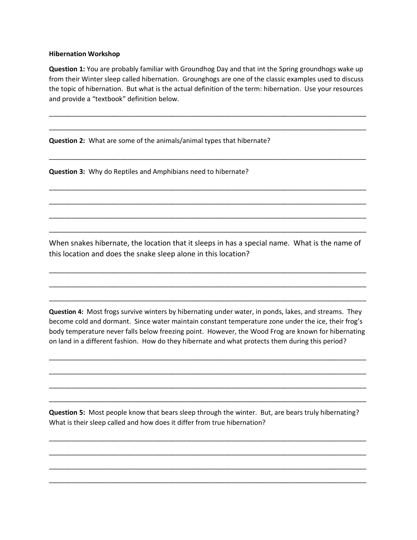## **Hibernation Workshop**

**Question 1:** You are probably familiar with Groundhog Day and that int the Spring groundhogs wake up from their Winter sleep called hibernation. Grounghogs are one of the classic examples used to discuss the topic of hibernation. But what is the actual definition of the term: hibernation. Use your resources and provide a "textbook" definition below.

\_\_\_\_\_\_\_\_\_\_\_\_\_\_\_\_\_\_\_\_\_\_\_\_\_\_\_\_\_\_\_\_\_\_\_\_\_\_\_\_\_\_\_\_\_\_\_\_\_\_\_\_\_\_\_\_\_\_\_\_\_\_\_\_\_\_\_\_\_\_\_\_\_\_\_\_\_\_\_\_\_\_\_\_\_

\_\_\_\_\_\_\_\_\_\_\_\_\_\_\_\_\_\_\_\_\_\_\_\_\_\_\_\_\_\_\_\_\_\_\_\_\_\_\_\_\_\_\_\_\_\_\_\_\_\_\_\_\_\_\_\_\_\_\_\_\_\_\_\_\_\_\_\_\_\_\_\_\_\_\_\_\_\_\_\_\_\_\_\_\_

\_\_\_\_\_\_\_\_\_\_\_\_\_\_\_\_\_\_\_\_\_\_\_\_\_\_\_\_\_\_\_\_\_\_\_\_\_\_\_\_\_\_\_\_\_\_\_\_\_\_\_\_\_\_\_\_\_\_\_\_\_\_\_\_\_\_\_\_\_\_\_\_\_\_\_\_\_\_\_\_\_\_\_\_\_

\_\_\_\_\_\_\_\_\_\_\_\_\_\_\_\_\_\_\_\_\_\_\_\_\_\_\_\_\_\_\_\_\_\_\_\_\_\_\_\_\_\_\_\_\_\_\_\_\_\_\_\_\_\_\_\_\_\_\_\_\_\_\_\_\_\_\_\_\_\_\_\_\_\_\_\_\_\_\_\_\_\_\_\_\_

\_\_\_\_\_\_\_\_\_\_\_\_\_\_\_\_\_\_\_\_\_\_\_\_\_\_\_\_\_\_\_\_\_\_\_\_\_\_\_\_\_\_\_\_\_\_\_\_\_\_\_\_\_\_\_\_\_\_\_\_\_\_\_\_\_\_\_\_\_\_\_\_\_\_\_\_\_\_\_\_\_\_\_\_\_

\_\_\_\_\_\_\_\_\_\_\_\_\_\_\_\_\_\_\_\_\_\_\_\_\_\_\_\_\_\_\_\_\_\_\_\_\_\_\_\_\_\_\_\_\_\_\_\_\_\_\_\_\_\_\_\_\_\_\_\_\_\_\_\_\_\_\_\_\_\_\_\_\_\_\_\_\_\_\_\_\_\_\_\_\_

\_\_\_\_\_\_\_\_\_\_\_\_\_\_\_\_\_\_\_\_\_\_\_\_\_\_\_\_\_\_\_\_\_\_\_\_\_\_\_\_\_\_\_\_\_\_\_\_\_\_\_\_\_\_\_\_\_\_\_\_\_\_\_\_\_\_\_\_\_\_\_\_\_\_\_\_\_\_\_\_\_\_\_\_\_

**Question 2:** What are some of the animals/animal types that hibernate?

**Question 3:** Why do Reptiles and Amphibians need to hibernate?

When snakes hibernate, the location that it sleeps in has a special name. What is the name of this location and does the snake sleep alone in this location?

\_\_\_\_\_\_\_\_\_\_\_\_\_\_\_\_\_\_\_\_\_\_\_\_\_\_\_\_\_\_\_\_\_\_\_\_\_\_\_\_\_\_\_\_\_\_\_\_\_\_\_\_\_\_\_\_\_\_\_\_\_\_\_\_\_\_\_\_\_\_\_\_\_\_\_\_\_\_\_\_\_\_\_\_\_

\_\_\_\_\_\_\_\_\_\_\_\_\_\_\_\_\_\_\_\_\_\_\_\_\_\_\_\_\_\_\_\_\_\_\_\_\_\_\_\_\_\_\_\_\_\_\_\_\_\_\_\_\_\_\_\_\_\_\_\_\_\_\_\_\_\_\_\_\_\_\_\_\_\_\_\_\_\_\_\_\_\_\_\_\_

\_\_\_\_\_\_\_\_\_\_\_\_\_\_\_\_\_\_\_\_\_\_\_\_\_\_\_\_\_\_\_\_\_\_\_\_\_\_\_\_\_\_\_\_\_\_\_\_\_\_\_\_\_\_\_\_\_\_\_\_\_\_\_\_\_\_\_\_\_\_\_\_\_\_\_\_\_\_\_\_\_\_\_\_\_

**Question 4:** Most frogs survive winters by hibernating under water, in ponds, lakes, and streams. They become cold and dormant. Since water maintain constant temperature zone under the ice, their frog's body temperature never falls below freezing point. However, the Wood Frog are known for hibernating on land in a different fashion. How do they hibernate and what protects them during this period?

\_\_\_\_\_\_\_\_\_\_\_\_\_\_\_\_\_\_\_\_\_\_\_\_\_\_\_\_\_\_\_\_\_\_\_\_\_\_\_\_\_\_\_\_\_\_\_\_\_\_\_\_\_\_\_\_\_\_\_\_\_\_\_\_\_\_\_\_\_\_\_\_\_\_\_\_\_\_\_\_\_\_\_\_\_

\_\_\_\_\_\_\_\_\_\_\_\_\_\_\_\_\_\_\_\_\_\_\_\_\_\_\_\_\_\_\_\_\_\_\_\_\_\_\_\_\_\_\_\_\_\_\_\_\_\_\_\_\_\_\_\_\_\_\_\_\_\_\_\_\_\_\_\_\_\_\_\_\_\_\_\_\_\_\_\_\_\_\_\_\_

\_\_\_\_\_\_\_\_\_\_\_\_\_\_\_\_\_\_\_\_\_\_\_\_\_\_\_\_\_\_\_\_\_\_\_\_\_\_\_\_\_\_\_\_\_\_\_\_\_\_\_\_\_\_\_\_\_\_\_\_\_\_\_\_\_\_\_\_\_\_\_\_\_\_\_\_\_\_\_\_\_\_\_\_\_

\_\_\_\_\_\_\_\_\_\_\_\_\_\_\_\_\_\_\_\_\_\_\_\_\_\_\_\_\_\_\_\_\_\_\_\_\_\_\_\_\_\_\_\_\_\_\_\_\_\_\_\_\_\_\_\_\_\_\_\_\_\_\_\_\_\_\_\_\_\_\_\_\_\_\_\_\_\_\_\_\_\_\_\_\_

**Question 5:** Most people know that bears sleep through the winter. But, are bears truly hibernating? What is their sleep called and how does it differ from true hibernation?

\_\_\_\_\_\_\_\_\_\_\_\_\_\_\_\_\_\_\_\_\_\_\_\_\_\_\_\_\_\_\_\_\_\_\_\_\_\_\_\_\_\_\_\_\_\_\_\_\_\_\_\_\_\_\_\_\_\_\_\_\_\_\_\_\_\_\_\_\_\_\_\_\_\_\_\_\_\_\_\_\_\_\_\_\_

\_\_\_\_\_\_\_\_\_\_\_\_\_\_\_\_\_\_\_\_\_\_\_\_\_\_\_\_\_\_\_\_\_\_\_\_\_\_\_\_\_\_\_\_\_\_\_\_\_\_\_\_\_\_\_\_\_\_\_\_\_\_\_\_\_\_\_\_\_\_\_\_\_\_\_\_\_\_\_\_\_\_\_\_\_

\_\_\_\_\_\_\_\_\_\_\_\_\_\_\_\_\_\_\_\_\_\_\_\_\_\_\_\_\_\_\_\_\_\_\_\_\_\_\_\_\_\_\_\_\_\_\_\_\_\_\_\_\_\_\_\_\_\_\_\_\_\_\_\_\_\_\_\_\_\_\_\_\_\_\_\_\_\_\_\_\_\_\_\_\_

\_\_\_\_\_\_\_\_\_\_\_\_\_\_\_\_\_\_\_\_\_\_\_\_\_\_\_\_\_\_\_\_\_\_\_\_\_\_\_\_\_\_\_\_\_\_\_\_\_\_\_\_\_\_\_\_\_\_\_\_\_\_\_\_\_\_\_\_\_\_\_\_\_\_\_\_\_\_\_\_\_\_\_\_\_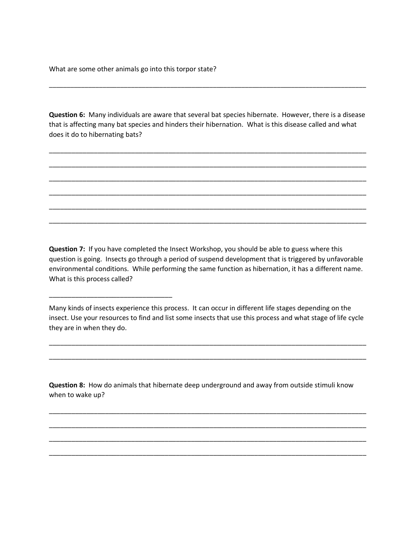What are some other animals go into this torpor state?

\_\_\_\_\_\_\_\_\_\_\_\_\_\_\_\_\_\_\_\_\_\_\_\_\_\_\_\_\_\_\_\_\_

**Question 6:** Many individuals are aware that several bat species hibernate. However, there is a disease that is affecting many bat species and hinders their hibernation. What is this disease called and what does it do to hibernating bats?

\_\_\_\_\_\_\_\_\_\_\_\_\_\_\_\_\_\_\_\_\_\_\_\_\_\_\_\_\_\_\_\_\_\_\_\_\_\_\_\_\_\_\_\_\_\_\_\_\_\_\_\_\_\_\_\_\_\_\_\_\_\_\_\_\_\_\_\_\_\_\_\_\_\_\_\_\_\_\_\_\_\_\_\_\_

\_\_\_\_\_\_\_\_\_\_\_\_\_\_\_\_\_\_\_\_\_\_\_\_\_\_\_\_\_\_\_\_\_\_\_\_\_\_\_\_\_\_\_\_\_\_\_\_\_\_\_\_\_\_\_\_\_\_\_\_\_\_\_\_\_\_\_\_\_\_\_\_\_\_\_\_\_\_\_\_\_\_\_\_\_

\_\_\_\_\_\_\_\_\_\_\_\_\_\_\_\_\_\_\_\_\_\_\_\_\_\_\_\_\_\_\_\_\_\_\_\_\_\_\_\_\_\_\_\_\_\_\_\_\_\_\_\_\_\_\_\_\_\_\_\_\_\_\_\_\_\_\_\_\_\_\_\_\_\_\_\_\_\_\_\_\_\_\_\_\_

\_\_\_\_\_\_\_\_\_\_\_\_\_\_\_\_\_\_\_\_\_\_\_\_\_\_\_\_\_\_\_\_\_\_\_\_\_\_\_\_\_\_\_\_\_\_\_\_\_\_\_\_\_\_\_\_\_\_\_\_\_\_\_\_\_\_\_\_\_\_\_\_\_\_\_\_\_\_\_\_\_\_\_\_\_

\_\_\_\_\_\_\_\_\_\_\_\_\_\_\_\_\_\_\_\_\_\_\_\_\_\_\_\_\_\_\_\_\_\_\_\_\_\_\_\_\_\_\_\_\_\_\_\_\_\_\_\_\_\_\_\_\_\_\_\_\_\_\_\_\_\_\_\_\_\_\_\_\_\_\_\_\_\_\_\_\_\_\_\_\_

\_\_\_\_\_\_\_\_\_\_\_\_\_\_\_\_\_\_\_\_\_\_\_\_\_\_\_\_\_\_\_\_\_\_\_\_\_\_\_\_\_\_\_\_\_\_\_\_\_\_\_\_\_\_\_\_\_\_\_\_\_\_\_\_\_\_\_\_\_\_\_\_\_\_\_\_\_\_\_\_\_\_\_\_\_

\_\_\_\_\_\_\_\_\_\_\_\_\_\_\_\_\_\_\_\_\_\_\_\_\_\_\_\_\_\_\_\_\_\_\_\_\_\_\_\_\_\_\_\_\_\_\_\_\_\_\_\_\_\_\_\_\_\_\_\_\_\_\_\_\_\_\_\_\_\_\_\_\_\_\_\_\_\_\_\_\_\_\_\_\_\_\_\_\_

**Question 7:** If you have completed the Insect Workshop, you should be able to guess where this question is going. Insects go through a period of suspend development that is triggered by unfavorable environmental conditions. While performing the same function as hibernation, it has a different name. What is this process called?

Many kinds of insects experience this process. It can occur in different life stages depending on the insect. Use your resources to find and list some insects that use this process and what stage of life cycle they are in when they do.

\_\_\_\_\_\_\_\_\_\_\_\_\_\_\_\_\_\_\_\_\_\_\_\_\_\_\_\_\_\_\_\_\_\_\_\_\_\_\_\_\_\_\_\_\_\_\_\_\_\_\_\_\_\_\_\_\_\_\_\_\_\_\_\_\_\_\_\_\_\_\_\_\_\_\_\_\_\_\_\_\_\_\_\_\_

\_\_\_\_\_\_\_\_\_\_\_\_\_\_\_\_\_\_\_\_\_\_\_\_\_\_\_\_\_\_\_\_\_\_\_\_\_\_\_\_\_\_\_\_\_\_\_\_\_\_\_\_\_\_\_\_\_\_\_\_\_\_\_\_\_\_\_\_\_\_\_\_\_\_\_\_\_\_\_\_\_\_\_\_\_

**Question 8:** How do animals that hibernate deep underground and away from outside stimuli know when to wake up?

\_\_\_\_\_\_\_\_\_\_\_\_\_\_\_\_\_\_\_\_\_\_\_\_\_\_\_\_\_\_\_\_\_\_\_\_\_\_\_\_\_\_\_\_\_\_\_\_\_\_\_\_\_\_\_\_\_\_\_\_\_\_\_\_\_\_\_\_\_\_\_\_\_\_\_\_\_\_\_\_\_\_\_\_\_

\_\_\_\_\_\_\_\_\_\_\_\_\_\_\_\_\_\_\_\_\_\_\_\_\_\_\_\_\_\_\_\_\_\_\_\_\_\_\_\_\_\_\_\_\_\_\_\_\_\_\_\_\_\_\_\_\_\_\_\_\_\_\_\_\_\_\_\_\_\_\_\_\_\_\_\_\_\_\_\_\_\_\_\_\_

\_\_\_\_\_\_\_\_\_\_\_\_\_\_\_\_\_\_\_\_\_\_\_\_\_\_\_\_\_\_\_\_\_\_\_\_\_\_\_\_\_\_\_\_\_\_\_\_\_\_\_\_\_\_\_\_\_\_\_\_\_\_\_\_\_\_\_\_\_\_\_\_\_\_\_\_\_\_\_\_\_\_\_\_\_

\_\_\_\_\_\_\_\_\_\_\_\_\_\_\_\_\_\_\_\_\_\_\_\_\_\_\_\_\_\_\_\_\_\_\_\_\_\_\_\_\_\_\_\_\_\_\_\_\_\_\_\_\_\_\_\_\_\_\_\_\_\_\_\_\_\_\_\_\_\_\_\_\_\_\_\_\_\_\_\_\_\_\_\_\_